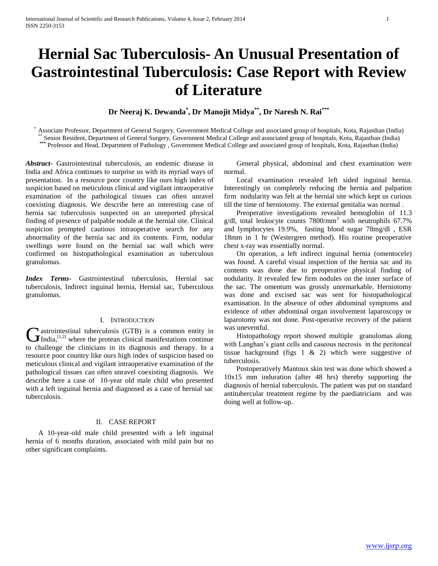# **Hernial Sac Tuberculosis- An Unusual Presentation of Gastrointestinal Tuberculosis: Case Report with Review of Literature**

**Dr Neeraj K. Dewanda\* , Dr Manojit Midya\*\*, Dr Naresh N. Rai\*\*\***

\* Associate Professor, Department of General Surgery, Government Medical College and associated group of hospitals, Kota, Rajasthan (India) \*\* Senior Resident, Department of General Surgery, Government Medical College and associated group of hospitals, Kota, Rajasthan (India) \*\*\* Professor and Head, Department of Pathology , Government Medical College and associated group of hospitals, Kota, Rajasthan (India)

*Abstract***-** Gastrointestinal tuberculosis, an endemic disease in India and Africa continues to surprise us with its myriad ways of presentation. In a resource poor country like ours high index of suspicion based on meticulous clinical and vigilant intraoperative examination of the pathological tissues can often unravel coexisting diagnosis. We describe here an interesting case of hernia sac tuberculosis suspected on an unreported physical finding of presence of palpable nodule at the hernial site. Clinical suspicion prompted cautious intraoperative search for any abnormality of the hernia sac and its contents. Firm, nodular swellings were found on the hernial sac wall which were confirmed on histopathological examination as tuberculous granulomas.

*Index Terms*- Gastrointestinal tuberculosis, Hernial sac tuberculosis, Indirect inguinal hernia, Hernial sac, Tuberculous granulomas.

## I. INTRODUCTION

astrointestinal tuberculosis (GTB) is a common entity in  $\mathbf{G}$  astrointestinal tuberculosis (GTB) is a common entity in India, [1,2] where the protean clinical manifestations continue to challenge the clinicians in its diagnosis and therapy. In a resource poor country like ours high index of suspicion based on meticulous clinical and vigilant intraoperative examination of the pathological tissues can often unravel coexisting diagnosis. We describe here a case of 10-year old male child who presented with a left inguinal hernia and diagnosed as a case of hernial sac tuberculosis.

# II. CASE REPORT

 A 10-year-old male child presented with a left inguinal hernia of 6 months duration, associated with mild pain but no other significant complaints.

 General physical, abdominal and chest examination were normal.

 Local examination revealed left sided inguinal hernia. Interestingly on completely reducing the hernia and palpation firm nodularity was felt at the hernial site which kept us curious till the time of herniotomy. The external genitalia was normal .

 Preoperative investigations revealed hemoglobin of 11.3 g/dl, total leukocyte counts  $7800/\text{mm}^3$  with neutrophils 67.7% and lymphocytes 19.9%, fasting blood sugar 78mg/dl , ESR 18mm in 1 hr (Westergren method). His routine preoperative chest x-ray was essentially normal.

 On operation, a left indirect inguinal hernia (omentocele) was found. A careful visual inspection of the hernia sac and its contents was done due to preoperative physical finding of nodularity. It revealed few firm nodules on the inner surface of the sac. The omentum was grossly unremarkable. Herniotomy was done and excised sac was sent for histopathological examination. In the absence of other abdominal symptoms and evidence of other abdominal organ involvement laparoscopy or laparotomy was not done. Post-operative recovery of the patient was uneventful.

 Histopathology report showed multiple granulomas along with Langhan's giant cells and caseous necrosis in the peritoneal tissue background (figs 1 & 2) which were suggestive of tuberculosis.

 Postoperatively Mantoux skin test was done which showed a 10x15 mm induration (after 48 hrs) thereby supporting the diagnosis of hernial tuberculosis. The patient was put on standard antitubercular treatment regime by the paediatricians and was doing well at follow-up.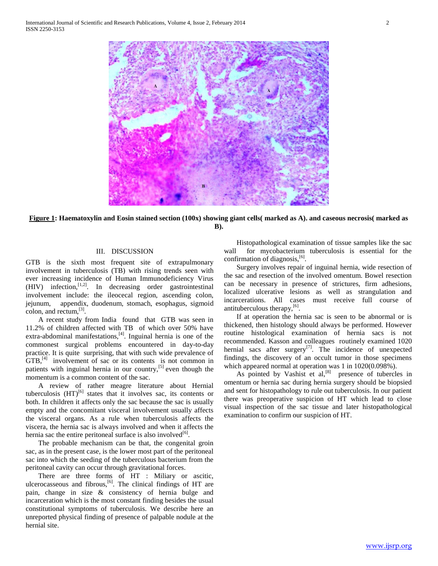

**Figure 1: Haematoxylin and Eosin stained section (100x) showing giant cells( marked as A). and caseous necrosis( marked as B).**

## III. DISCUSSION

GTB is the sixth most frequent site of extrapulmonary involvement in tuberculosis (TB) with rising trends seen with ever increasing incidence of Human Immunodeficiency Virus (HIV) infection,<sup>[1,2]</sup>. In decreasing order gastrointestinal involvement include: the ileocecal region, ascending colon, jejunum, appendix, duodenum, stomach, esophagus, sigmoid colon, and rectum, $^{[3]}$ .

 A recent study from India found that GTB was seen in 11.2% of children affected with TB of which over 50% have extra-abdominal manifestations,<sup>[4]</sup>. Inguinal hernia is one of the commonest surgical problems encountered in day-to-day practice. It is quite surprising, that with such wide prevalence of  $GTB$ ,<sup> $[4]$ </sup> involvement of sac or its contents is not common in patients with inguinal hernia in our country, $[5]$  even though the momentum is a common content of the sac.

 A review of rather meagre literature about Hernial tuberculosis  $(HT)^{[6]}$  states that it involves sac, its contents or both. In children it affects only the sac because the sac is usually empty and the concomitant visceral involvement usually affects the visceral organs. As a rule when tuberculosis affects the viscera, the hernia sac is always involved and when it affects the hernia sac the entire peritoneal surface is also involved  $[6]$ .

 The probable mechanism can be that, the congenital groin sac, as in the present case, is the lower most part of the peritoneal sac into which the seeding of the tuberculous bacterium from the peritoneal cavity can occur through gravitational forces.

 There are three forms of HT : Miliary or ascitic, ulcerocasseous and fibrous, $[6]$ . The clinical findings of HT are pain, change in size & consistency of hernia bulge and incarceration which is the most constant finding besides the usual constitutional symptoms of tuberculosis. We describe here an unreported physical finding of presence of palpable nodule at the hernial site.

 Histopathological examination of tissue samples like the sac wall for mycobacterium tuberculosis is essential for the confirmation of diagnosis,<sup>[6]</sup>.

 Surgery involves repair of inguinal hernia, wide resection of the sac and resection of the involved omentum. Bowel resection can be necessary in presence of strictures, firm adhesions, localized ulcerative lesions as well as strangulation and incarcerations. All cases must receive full course of antituberculous therapy,  $[6]$ .

 If at operation the hernia sac is seen to be abnormal or is thickened, then histology should always be performed. However routine histological examination of hernia sacs is not recommended. Kasson and colleagues routinely examined 1020 hernial sacs after surgery<sup>[7]</sup>. The incidence of unexpected findings, the discovery of an occult tumor in those specimens which appeared normal at operation was 1 in  $1020(0.098\%)$ .

As pointed by Vashist et  $al$ ,<sup>[8]</sup> presence of tubercles in omentum or hernia sac during hernia surgery should be biopsied and sent for histopathology to rule out tuberculosis. In our patient there was preoperative suspicion of HT which lead to close visual inspection of the sac tissue and later histopathological examination to confirm our suspicion of HT.